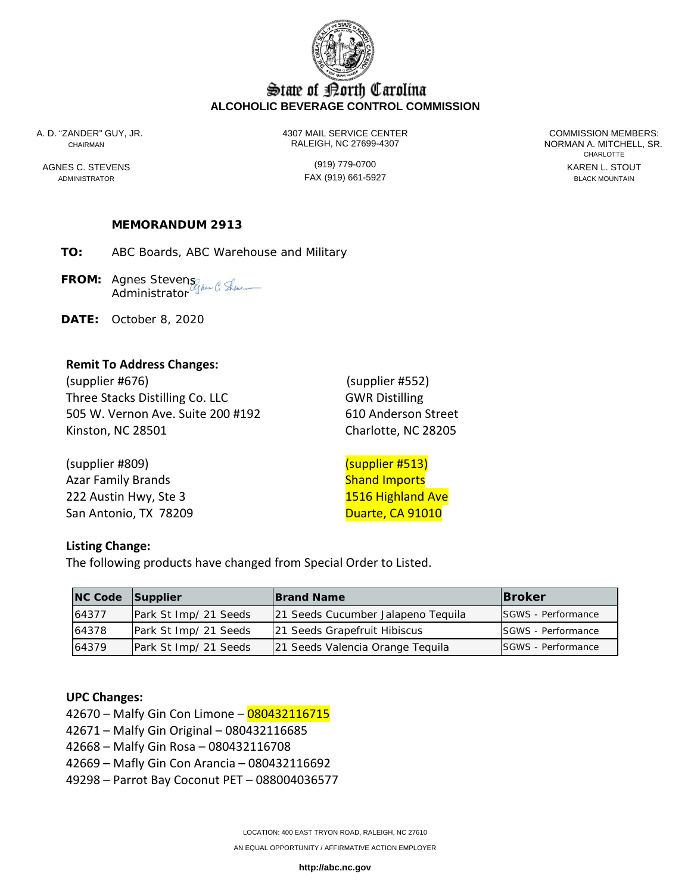

# State of Borth Carolina **ALCOHOLIC BEVERAGE CONTROL COMMISSION**

A. D. "ZANDER" GUY, JR. 4307 MAIL SERVICE CENTER COMMISSION MEMBERS: CHAIRMAN RALEIGH, NC 27699-4307 NORMAN A. MITCHELL, SR.

ADMINISTRATOR FAX (919) 661-5927 BLACK MOUNTAIN

**CHARLOTTE** AGNES C. STEVENS GENERAL STOUT (919) 779-0700

## **MEMORANDUM 2913**

**TO:** ABC Boards, ABC Warehouse and Military

FROM: Agnes Stevens<sub>liker</sub> C. Ske Administrator

**DATE:** October 8, 2020

#### **Remit To Address Changes:**

(supplier #676) (supplier #552) Three Stacks Distilling Co. LLC GWR Distilling 505 W. Vernon Ave. Suite 200 #192 610 Anderson Street Kinston, NC 28501 Charlotte, NC 28205

(supplier #809) (supplier #513) Azar Family Brands National Communication of the Shand Imports 222 Austin Hwy, Ste 3 1516 Highland Ave San Antonio, TX 78209 Duarte, CA 91010

#### **Listing Change:**

The following products have changed from Special Order to Listed.

| NC Code Supplier |                       | <b>Brand Name</b>                  | <b>IBroker</b>             |
|------------------|-----------------------|------------------------------------|----------------------------|
| 64377            | Park St Imp/ 21 Seeds | 21 Seeds Cucumber Jalapeno Tequila | <b>ISGWS</b> - Performance |
| 64378            | Park St Imp/ 21 Seeds | 21 Seeds Grapefruit Hibiscus       | <b>ISGWS</b> - Performance |
| 64379            | Park St Imp/ 21 Seeds | 21 Seeds Valencia Orange Tequila   | <b>ISGWS</b> - Performance |

#### **UPC Changes:**

42670 – Malfy Gin Con Limone – 080432116715

42671 – Malfy Gin Original – 080432116685

42668 – Malfy Gin Rosa – 080432116708

42669 – Mafly Gin Con Arancia – 080432116692

49298 – Parrot Bay Coconut PET – 088004036577